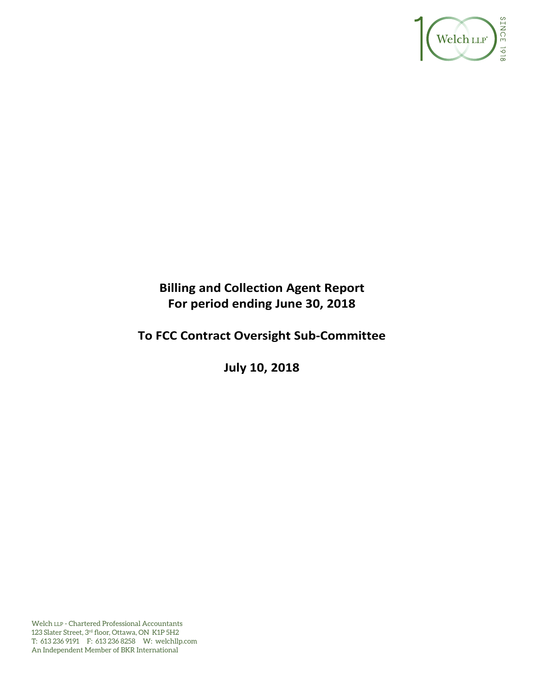

# **Billing and Collection Agent Report For period ending June 30, 2018**

# **To FCC Contract Oversight Sub‐Committee**

**July 10, 2018** 

Welch LLP - Chartered Professional Accountants 123 Slater Street, 3rd floor, Ottawa, ON K1P 5H2 T: 613 236 9191 F: 613 236 8258 W: welchllp.com An Independent Member of BKR International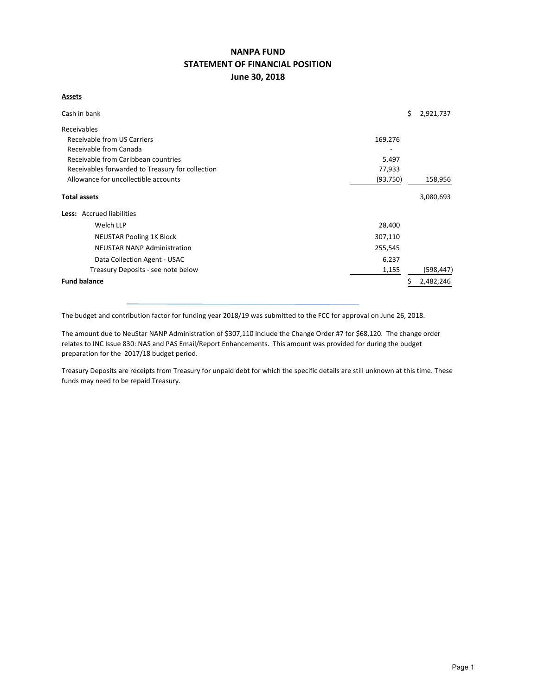# **NANPA FUND STATEMENT OF FINANCIAL POSITION June 30, 2018**

#### **Assets**

| Cash in bank                                     |           | \$<br>2,921,737 |
|--------------------------------------------------|-----------|-----------------|
| Receivables                                      |           |                 |
| Receivable from US Carriers                      | 169,276   |                 |
| Receivable from Canada                           |           |                 |
| Receivable from Caribbean countries              | 5,497     |                 |
| Receivables forwarded to Treasury for collection | 77,933    |                 |
| Allowance for uncollectible accounts             | (93, 750) | 158,956         |
| <b>Total assets</b>                              |           | 3,080,693       |
| Less: Accrued liabilities                        |           |                 |
| Welch LLP                                        | 28,400    |                 |
| <b>NEUSTAR Pooling 1K Block</b>                  | 307,110   |                 |
| <b>NEUSTAR NANP Administration</b>               | 255,545   |                 |
| Data Collection Agent - USAC                     | 6,237     |                 |
| Treasury Deposits - see note below               | 1,155     | (598, 447)      |
| <b>Fund balance</b>                              |           | 2,482,246       |

The budget and contribution factor for funding year 2018/19 was submitted to the FCC for approval on June 26, 2018.

The amount due to NeuStar NANP Administration of \$307,110 include the Change Order #7 for \$68,120. The change order relates to INC Issue 830: NAS and PAS Email/Report Enhancements. This amount was provided for during the budget preparation for the 2017/18 budget period.

Treasury Deposits are receipts from Treasury for unpaid debt for which the specific details are still unknown at this time. These funds may need to be repaid Treasury.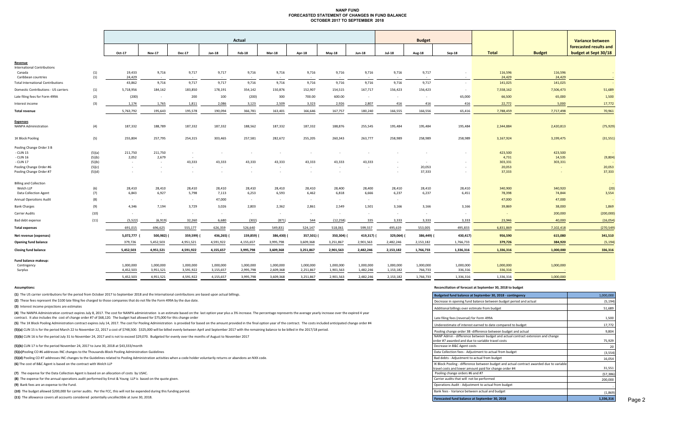#### **NANP FUND FORECASTED STATEMENT OF CHANGES IN FUND BALANCE OCTOBER 2017 TO SEPTEMBER 2018**

|                                          |        | <b>Actual</b> |               |               |               |            |           |            |           |               |               | <b>Budget</b> |           |              |               | <b>Variance between</b> |
|------------------------------------------|--------|---------------|---------------|---------------|---------------|------------|-----------|------------|-----------|---------------|---------------|---------------|-----------|--------------|---------------|-------------------------|
|                                          |        |               |               |               |               |            |           |            |           |               |               |               |           |              |               | forecasted results and  |
|                                          |        | Oct-17        | <b>Nov-17</b> | <b>Dec-17</b> | $Jan-18$      | Feb-18     | $Mar-18$  | Apr-18     | $May-18$  | <b>Jun-18</b> | <b>Jul-18</b> | <b>Aug-18</b> | Sep-18    | <b>Total</b> | <b>Budget</b> | budget at Sept 30/18    |
| Revenue                                  |        |               |               |               |               |            |           |            |           |               |               |               |           |              |               |                         |
| <b>International Contributions</b>       |        |               |               |               |               |            |           |            |           |               |               |               |           |              |               |                         |
| Canada                                   | (1)    | 19,433        | 9,716         | 9,717         | 9,717         | 9,716      | 9,716     | 9,716      | 9,716     | 9,716         | 9,716         | 9,717         |           | 116,596      | 116,596       | $\sim 100$              |
| Caribbean countries                      | (1)    | 24,429        | $\sim$        | $\sim$ $\sim$ | $\sim$ $\sim$ |            | $\sim$    | $\sim$     | $\sim$    | $\sim$        | $\sim$        | $\sim$        | $\sim$    | 24,429       | 24,429        |                         |
| <b>Total International Contributions</b> |        | 43,862        | 9,716         | 9,717         | 9,717         | 9,716      | 9,716     | 9,716      | 9,716     | 9,716         | 9,716         | 9,717         | $\sim$    | 141,025      | 141,025       |                         |
| Domestic Contributions - US carriers     | (1)    | 5,718,956     | 184,162       | 183,850       | 178,191       | 354,142    | 150,876   | 152,907    | 154,515   | 167,717       | 156,423       | 156,423       | $\sim$    | 7,558,162    | 7,506,473     | 51,689                  |
| Late filing fees for Form 499A           | (2)    | (200)         | $\sim$        | 200           | 100           | (200)      | 300       | 700.00     | 600.00    | $\sim$        | $\sim$        | $\sim$        | 65,000    | 66,500       | 65,000        | 1,500                   |
| Interest income                          | (3)    | 1,174         | 1,765         | 1,811         | 2,086         | 3,123      | 2,509     | 3,323      | 2,926     | 2,807         | 416           | 416           | 416       | 22,772       | 5,000         | 17,772                  |
| <b>Total revenue</b>                     |        | 5,763,792     | 195,643       | 195,578       | 190,094       | 366,781    | 163,401   | 166,646    | 167,757   | 180,240       | 166,555       | 166,556       | 65,416    | 7,788,459    | 7,717,498     | 70,961                  |
| <b>Expenses</b>                          |        |               |               |               |               |            |           |            |           |               |               |               |           |              |               |                         |
| <b>NANPA Administration</b>              | (4)    | 187,332       | 188,789       | 187,332       | 187,332       | 188,562    | 187,332   | 187,332    | 188,876   | 255,545       | 195,484       | 195,484       | 195,484   | 2,344,884    | 2,420,813     | (75, 929)               |
| 1K Block Pooling                         | (5)    | 255,804       | 257,795       | 254,315       | 303,465       | 257,581    | 282,672   | 255,205    | 260,343   | 263,777       | 258,989       | 258,989       | 258,989   | 3,167,924    | 3,199,475     | (31,551)                |
| Pooling Change Order 3 B                 |        |               |               |               |               |            |           |            |           |               |               |               |           |              |               |                         |
| - CLIN 15                                | (5)(a) | 211,750       | 211,750       | $\sim$        |               |            |           | $\sim$     |           |               |               |               |           | 423,500      | 423,500       |                         |
| - CLIN 16                                | (5)(b) | 2,052         | 2,679         | $\sim$        |               |            |           |            |           |               |               |               |           | 4,731        | 14,535        | (9,804)                 |
| - CLIN 17                                | (5)(b) | $\sim 100$    | $\sim$        | 43,333        | 43,333        | 43,333     | 43,333    | 43,333     | 43,333    | 43,333        |               | $\sim$        |           | 303,331      | 303,331       |                         |
| Pooling Change Order #6                  | (5)(c) | $\sim$        | $\sim$        | $\sim$        | $\sim$        | $\sim$     | $\sim$    | $\sim$     | $\sim$    | $\sim$        |               | 20,053        |           | 20,053       |               | 20,053                  |
| Pooling Change Order #7                  | (5)(d) | $\sim$        |               | $\sim$        |               |            |           | $\sim$     | $\sim$    |               |               | 37,333        | $\sim$    | 37,333       |               | 37,333                  |
| <b>Billing and Collection</b>            |        |               |               |               |               |            |           |            |           |               |               |               |           |              |               |                         |
| Welch LLP                                | (6)    | 28,410        | 28,410        | 28,410        | 28,410        | 28,410     | 28,410    | 28,410     | 28,400    | 28,400        | 28,410        | 28,410        | 28,410    | 340,900      | 340,920       | (20)                    |
| Data Collection Agent                    | (7)    | 6,843         | 6,927         | 5,798         | 7,113         | 6,253      | 6,593     | 6,462      | 6,818     | 6,666         | 6,237         | 6,237         | 6,451     | 78,398       | 74,844        | 3,554                   |
| <b>Annual Operations Audit</b>           | (8)    | $\sim$        | $\sim$        | $\sim$        | 47,000        | $\sim$     | $\sim$    | $\sim$     | $\sim$    | $\sim$        | $\sim$        |               |           | 47,000       | 47,000        |                         |
| <b>Bank Charges</b>                      | (9)    | 4,346         | 7,194         | 3,729         | 3,026         | 2,803      | 2,362     | 2,861      | 2,549     | 1,501         | 3,166         | 3,166         | 3,166     | 39,869       | 38,000        | 1,869                   |
| Carrier Audits                           | (10)   | $\sim$ $-$    | $\sim$        | $\sim$        | $\sim$ $\sim$ | $\sim$     | $\sim$    | $\sim$     | $\sim$    | $\sim$        | $\sim$        | $\sim$        |           | $\sim$       | 200,000       | (200,000)               |
| Bad debt expense                         | (11)   | (5, 522)      | (6, 919)      | 32,260        | 6,680         | (302)      | (871)     | 544        | (12, 258) | 335           | 3,333         | 3,333         | 3,333     | 23,946       | 40,000        | (16,054)                |
| <b>Total expenses</b>                    |        | 691,015       | 696,625       | 555,177       | 626,359       | 526,640    | 549,831   | 524,147    | 518,061   | 599,557       | 495,619       | 553,005       | 495,833   | 6,831,869    | 7,102,418     | (270, 549)              |
| Net revenue (expenses)                   |        | 5,072,777     | 500,982)      | 359,599)      | 436,265)      | 159,859) ( | 386,430)  | 357,501) ( | 350,304)  | 419,317)      | 329,064)      | 386,449) (    | 430,417)  | 956,590      | 615,080       | 341,510                 |
| <b>Opening fund balance</b>              |        | 379,726       | 5,452,503     | 4,951,521     | 4,591,922     | 4,155,657  | 3,995,798 | 3,609,368  | 3,251,867 | 2,901,563     | 2,482,246     | 2,153,182     | 1,766,733 | 379,726      | 384,920       | (5, 194)                |
| <b>Closing fund balance</b>              |        | 5,452,503     | 4,951,521     | 4,591,922     | 4,155,657     | 3,995,798  | 3,609,368 | 3,251,867  | 2,901,563 | 2,482,246     | 2,153,182     | 1,766,733     | 1,336,316 | 1,336,316    | 1,000,000     | 336,316                 |
| Fund balance makeup:                     |        |               |               |               |               |            |           |            |           |               |               |               |           |              |               |                         |
| Contingency                              |        | 1,000,000     | 1,000,000     | 1,000,000     | 1,000,000     | 1,000,000  | 1,000,000 | 1,000,000  | 1,000,000 | 1,000,000     | 1,000,000     | 1,000,000     | 1,000,000 | 1,000,000    | 1,000,000     |                         |
| Surplus                                  |        | 4,452,503     | 3,951,521     | 3,591,922     | 3,155,657     | 2,995,798  | 2,609,368 | 2,251,867  | 1,901,563 | 1,482,246     | 1,153,182     | 766,733       | 336,316   | 336,316      |               |                         |
|                                          |        | 5.452.503     | 4,951,521     | 4.591.922     | 4.155.657     | 3,995,798  | 3.609.368 | 3,251,867  | 2,901,563 | 2.482.246     | 2.153.182     | 1.766.733     | 1.336.316 | 1.336.316    | 1.000.000     |                         |
|                                          |        |               |               |               |               |            |           |            |           |               |               |               |           |              |               |                         |

**(1)** The US carrier contributions for the period from October 2017 to September 2018 and the International contributions are based upon actual billings.

(2) These fees represent the \$100 late filing fee charged to those companies that do not file the Form 499A by the due date.

**(3)** Interest income projections are estimates

(4) The NANPA Administration contract expires July 8, 2017. The cost for NANPA administration is an estimate based on the last option year plus a 3% increase. The percentage represents the average yearly increase over the contract. It also includes the cost of change order #7 of \$68,120. The budget had allowed for \$75,000 for this change order

(5) The 1K Block Pooling Administration contract expires July 14, 2017. The cost for Pooling Administration is provided for based on the amount provided in the final option year of the contract. The costs included anticipa

(5)(a) CLIN 15 is for the period March 22 to November 22, 2017 a cost of \$748,500. \$325,000 will be billed evenly between April and September 2017 with the remaining balance to be billed in the 2017/18 period.

**(5)(b)** CLIN 16 is for the period July 31 to November 24, 2017 and is not to exceed \$29,070. Budgeted for evenly over the months of August to November 2017

**(5)(b)** CLIN 17 is for the period November 24, 2017 to June 30, 2018 at \$43,333/month <sup>20</sup>

**(5)(c)**Pooling CO #6 addresses INC changes to the Thousands‐Block Pooling Administration Guidelines (3,554)

**(5)(d)** Pooling CO #7 addresses INC changes to the Guidelines related to Pooling Administration activities when a code holder voluntarily returns or abandons an NXX code. 16,054 **(6)** The cost of B&C Agent is based on the contract with Welch LLP

**(7)** The expense for the Data Collection Agent is based on an allocation of costs by USAC.

**(8)** The expense for the annual operations audit performed by Ernst & Young LLP is based on the quote given.

**(9)** Bank fees are an expense to the Fund.

**(10)** The budget allowed \$200,000 for carrier audits. Per the FCC, this will not be expended during this funding period.

**(11)** The allowance covers all accounts considered potentially uncollectible at June 30, 2018.

#### **Assumptions: Reconciliation of forecast at September 30, 2018 to budget**

| Budgeted fund balance at September 30, 2018 - contingency                                                                                                                             | 1,000,000            |
|---------------------------------------------------------------------------------------------------------------------------------------------------------------------------------------|----------------------|
| Decrease in opening fund balance between budget period and actual                                                                                                                     | (5, 194)             |
| Additional billings over estimate from budget                                                                                                                                         | 51,689               |
| Late filing fees (reversal) for Form 499A                                                                                                                                             | 1,500                |
| Underestimate of interest earned to date compared to budget                                                                                                                           | 17,772               |
| Pooling change order 3B -difference between budget and actual                                                                                                                         | 9,804                |
| NANP Admin - difference between budget and actual contract extension and change<br>order #7 awarded and due to variable travel costs                                                  | 75,929               |
| Decrease in B&C Agent costs                                                                                                                                                           | 20                   |
| Data Collection fees - Adjustment to actual from budget                                                                                                                               | (3, 554)             |
| Bad debts - Adjustment to actual from budget                                                                                                                                          | 16,054               |
| IK Block Pooling - difference between budget and actual contract awarded due to variable<br>travel costs and lower amount paid for change order #4<br>Pooling change orders #6 and #7 | 31,551               |
| Carrier audits that will not be performed                                                                                                                                             | (57, 386)<br>200,000 |
| Operations Audit - Adjustment to actual from budget                                                                                                                                   |                      |
| Bank fees - Variance between actual and budget                                                                                                                                        | (1,869)              |
| Enrecasted fund halance at Sentember 30, 2018                                                                                                                                         | 1336316              |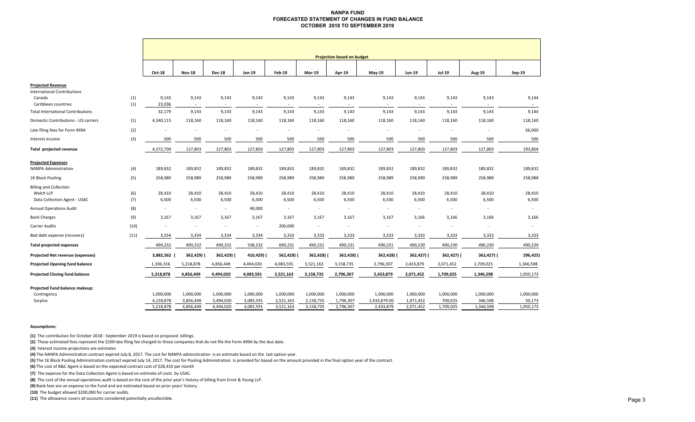#### **NANPA FUND FORECASTED STATEMENT OF CHANGES IN FUND BALANCE OCTOBER 2018 TO SEPTEMBER 2019**

|                                          |            | <b>Projection based on budget</b> |                          |                 |                 |               |            |                          |                          |                          |               |                          |           |
|------------------------------------------|------------|-----------------------------------|--------------------------|-----------------|-----------------|---------------|------------|--------------------------|--------------------------|--------------------------|---------------|--------------------------|-----------|
|                                          |            | Oct-18                            | <b>Nov-18</b>            | <b>Dec-18</b>   | Jan-19          | <b>Feb-19</b> | Mar-19     | Apr-19                   | May-19                   | Jun-19                   | <b>Jul-19</b> | <b>Aug-19</b>            | Sep-19    |
| <b>Projected Revenue</b>                 |            |                                   |                          |                 |                 |               |            |                          |                          |                          |               |                          |           |
| <b>International Contributions</b>       |            |                                   |                          |                 |                 |               |            |                          |                          |                          |               |                          |           |
| Canada<br>Caribbean countries            | (1)<br>(1) | 9,143<br>23,036                   | 9,143<br>$\sim$          | 9,143<br>$\sim$ | 9,143<br>$\sim$ | 9,143         | 9,143      | 9,143                    | 9,143                    | 9,143<br>$\sim$          | 9,143         | 9,143<br>$\sim$          | 9,144     |
| <b>Total International Contributions</b> |            | 32,179                            | 9,143                    | 9,143           | 9,143           | 9,143         | 9,143      | 9,143                    | 9,143                    | 9,143                    | 9,143         | 9,143                    | 9,144     |
| Domestic Contributions - US carriers     | (1)        | 4,340,115                         | 118,160                  | 118,160         | 118,160         | 118,160       | 118,160    | 118,160                  | 118,160                  | 118,160                  | 118,160       | 118,160                  | 118,160   |
| Late filing fees for Form 499A           | (2)        |                                   | $\overline{\phantom{a}}$ |                 | $\overline{a}$  |               |            |                          | $\overline{\phantom{a}}$ | $\overline{\phantom{a}}$ |               |                          | 66,000    |
| Interest income                          | (3)        | 500                               | 500                      | 500             | 500             | 500           | 500        | 500                      | 500                      | 500                      | 500           | 500                      | 500       |
| Total projected revenue                  |            | 4,372,794                         | 127,803                  | 127,803         | 127,803         | 127,803       | 127,803    | 127,803                  | 127,803                  | 127,803                  | 127,803       | 127,803                  | 193,804   |
| <b>Projected Expenses</b>                |            |                                   |                          |                 |                 |               |            |                          |                          |                          |               |                          |           |
| <b>NANPA Administration</b>              | (4)        | 189,832                           | 189,832                  | 189,832         | 189,832         | 189,832       | 189,832    | 189,832                  | 189,832                  | 189,832                  | 189,832       | 189,832                  | 189,832   |
| 1K Block Pooling                         | (5)        | 258,989                           | 258,989                  | 258,989         | 258,989         | 258,989       | 258,989    | 258,989                  | 258,989                  | 258,989                  | 258,989       | 258,989                  | 258,988   |
| <b>Billing and Collection</b>            |            |                                   |                          |                 |                 |               |            |                          |                          |                          |               |                          |           |
| Welch LLP                                | (6)        | 28,410                            | 28,410                   | 28,410          | 28,410          | 28,410        | 28,410     | 28,410                   | 28,410                   | 28,410                   | 28,410        | 28,410                   | 28,410    |
| Data Collection Agent - USAC             | (7)        | 6,500                             | 6,500                    | 6,500           | 6,500           | 6,500         | 6,500      | 6,500                    | 6,500                    | 6,500                    | 6,500         | 6,500                    | 6,500     |
| <b>Annual Operations Audit</b>           | (8)        | $\overline{\phantom{a}}$          | $\sim$                   | $\sim$          | 48,000          | $\sim$        | $\sim$     | $\sim$                   | $\sim$                   | $\sim$                   |               | $\sim$                   |           |
| <b>Bank Charges</b>                      | (9)        | 3,167                             | 3,167                    | 3,167           | 3,167           | 3,167         | 3,167      | 3,167                    | 3,167                    | 3,166                    | 3,166         | 3,166                    | 3,166     |
| Carrier Audits                           | (10)       |                                   | $\sim$                   | $\sim$          | $\sim$          | 200,000       | $\sim$     | $\overline{\phantom{a}}$ | $\overline{\phantom{a}}$ | $\overline{\phantom{a}}$ |               | $\overline{\phantom{a}}$ |           |
| Bad debt expense (recovery)              | (11)       | 3,334                             | 3,334                    | 3,334           | 3,334           | 3,333         | 3,333      | 3,333                    | 3,333                    | 3,333                    | 3,333         | 3,333                    | 3,333     |
| <b>Total projected expenses</b>          |            | 490,232                           | 490,232                  | 490,232         | 538,232         | 690,231       | 490,231    | 490,231                  | 490,231                  | 490,230                  | 490,230       | 490,230                  | 490,229   |
| Projected Net revenue (expenses)         |            | 3,882,562                         | 362,429) (               | 362,429) (      | 410,429) (      | 562,428)      | 362,428) ( | 362,428)                 | 362,428) (               | 362,427) (               | 362,427) (    | 362,427) (               | 296,425)  |
| <b>Projected Opening fund balance</b>    |            | 1,336,316                         | 5,218,878                | 4,856,449       | 4,494,020       | 4,083,591     | 3,521,163  | 3,158,735                | 2,796,307                | 2,433,879                | 2,071,452     | 1,709,025                | 1,346,598 |
| <b>Projected Closing fund balance</b>    |            | 5,218,878                         | 4,856,449                | 4,494,020       | 4,083,591       | 3,521,163     | 3,158,735  | 2,796,307                | 2,433,879                | 2,071,452                | 1,709,025     | 1,346,598                | 1,050,173 |
| Projected Fund balance makeup:           |            |                                   |                          |                 |                 |               |            |                          |                          |                          |               |                          |           |
| Contingency                              |            | 1,000,000                         | 1,000,000                | 1,000,000       | 1,000,000       | 1,000,000     | 1,000,000  | 1,000,000                | 1,000,000                | 1,000,000                | 1,000,000     | 1,000,000                | 1,000,000 |
| Surplus                                  |            | 4,218,878                         | 3,856,449                | 3,494,020       | 3,083,591       | 2,521,163     | 2,158,735  | 1,796,307                | 1,433,879.00             | 1,071,452                | 709,025       | 346,598                  | 50,173    |
|                                          |            | 5,218,878                         | 4,856,449                | 4,494,020       | 4,083,591       | 3,521,163     | 3,158,735  | 2,796,307                | 2,433,879                | 2,071,452                | 1,709,025     | 1,346,598                | 1,050,173 |

#### **Assumptions:**

**(1)** The contribution for October 2018 ‐ September 2019 is based on proposed billings.

**(2)** These estimated fees represent the \$100 late filing fee charged to those companies that do not file the Form 499A by the due date.

**(3)** Interest income projections are estimates

**(4)** The NANPA Administration contract expired July 8, 2017. The cost for NANPA administration is an estimate based on the last option year.

**(5)** The 1K Block Pooling Administration contract expired July 14, 2017. The cost for Pooling Administration is provided for based on the amount provided in the final option year of the contract.

**(6)** The cost of B&C Agent is based on the expected contract cost of \$28,410 per month

**(7)**  The expense for the Data Collection Agent is based on estimate of costs by USAC.

**(8)**  The cost of the annual operations audit is based on the cost of the prior year's history of billing from Ernst & Young LLP.

**(9)** Bank fees are an expense to the Fund and are estimated based on prior years' history.

**(10)** The budget allowed \$200,000 for carrier audits.

**(11)**  The allowance covers all accounts considered potentially uncollectible.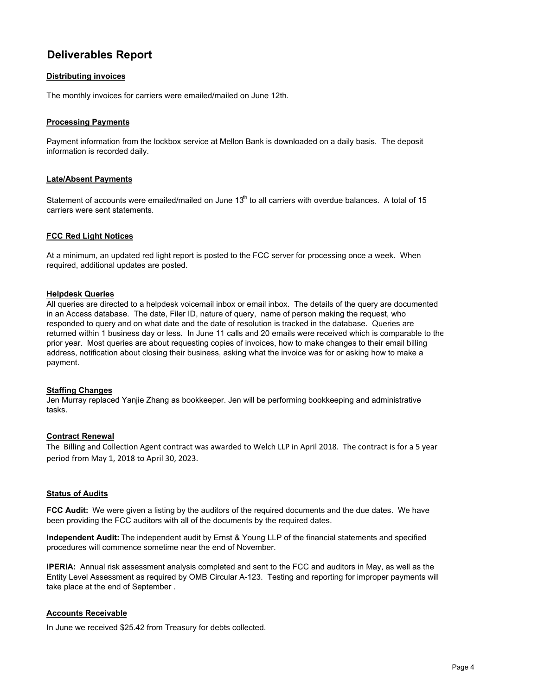# **Deliverables Report**

## **Distributing invoices**

The monthly invoices for carriers were emailed/mailed on June 12th.

#### **Processing Payments**

Payment information from the lockbox service at Mellon Bank is downloaded on a daily basis. The deposit information is recorded daily.

## **Late/Absent Payments**

Statement of accounts were emailed/mailed on June  $13<sup>th</sup>$  to all carriers with overdue balances. A total of 15 carriers were sent statements.

## **FCC Red Light Notices**

At a minimum, an updated red light report is posted to the FCC server for processing once a week. When required, additional updates are posted.

#### **Helpdesk Queries**

All queries are directed to a helpdesk voicemail inbox or email inbox. The details of the query are documented in an Access database. The date, Filer ID, nature of query, name of person making the request, who responded to query and on what date and the date of resolution is tracked in the database. Queries are returned within 1 business day or less. In June 11 calls and 20 emails were received which is comparable to the prior year. Most queries are about requesting copies of invoices, how to make changes to their email billing address, notification about closing their business, asking what the invoice was for or asking how to make a payment.

#### **Staffing Changes**

Jen Murray replaced Yanjie Zhang as bookkeeper. Jen will be performing bookkeeping and administrative tasks.

#### **Contract Renewal**

The Billing and Collection Agent contract was awarded to Welch LLP in April 2018. The contract is for a 5 year period from May 1, 2018 to April 30, 2023.

#### **Status of Audits**

**FCC Audit:** We were given a listing by the auditors of the required documents and the due dates. We have been providing the FCC auditors with all of the documents by the required dates.

**Independent Audit:** The independent audit by Ernst & Young LLP of the financial statements and specified procedures will commence sometime near the end of November.

**IPERIA:** Annual risk assessment analysis completed and sent to the FCC and auditors in May, as well as the Entity Level Assessment as required by OMB Circular A-123. Testing and reporting for improper payments will take place at the end of September .

## **Accounts Receivable**

In June we received \$25.42 from Treasury for debts collected.